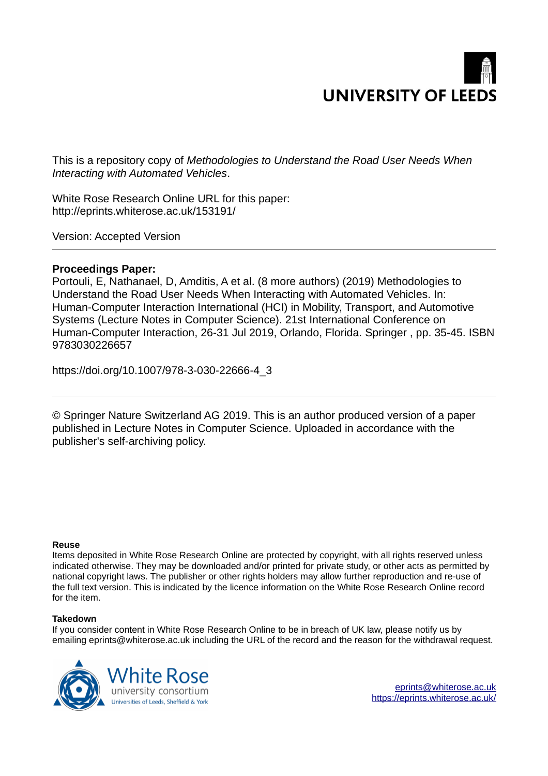

This is a repository copy of *Methodologies to Understand the Road User Needs When Interacting with Automated Vehicles*.

White Rose Research Online URL for this paper: http://eprints.whiterose.ac.uk/153191/

Version: Accepted Version

### **Proceedings Paper:**

Portouli, E, Nathanael, D, Amditis, A et al. (8 more authors) (2019) Methodologies to Understand the Road User Needs When Interacting with Automated Vehicles. In: Human-Computer Interaction International (HCI) in Mobility, Transport, and Automotive Systems (Lecture Notes in Computer Science). 21st International Conference on Human-Computer Interaction, 26-31 Jul 2019, Orlando, Florida. Springer , pp. 35-45. ISBN 9783030226657

https://doi.org/10.1007/978-3-030-22666-4\_3

© Springer Nature Switzerland AG 2019. This is an author produced version of a paper published in Lecture Notes in Computer Science. Uploaded in accordance with the publisher's self-archiving policy.

#### **Reuse**

Items deposited in White Rose Research Online are protected by copyright, with all rights reserved unless indicated otherwise. They may be downloaded and/or printed for private study, or other acts as permitted by national copyright laws. The publisher or other rights holders may allow further reproduction and re-use of the full text version. This is indicated by the licence information on the White Rose Research Online record for the item.

#### **Takedown**

If you consider content in White Rose Research Online to be in breach of UK law, please notify us by emailing eprints@whiterose.ac.uk including the URL of the record and the reason for the withdrawal request.

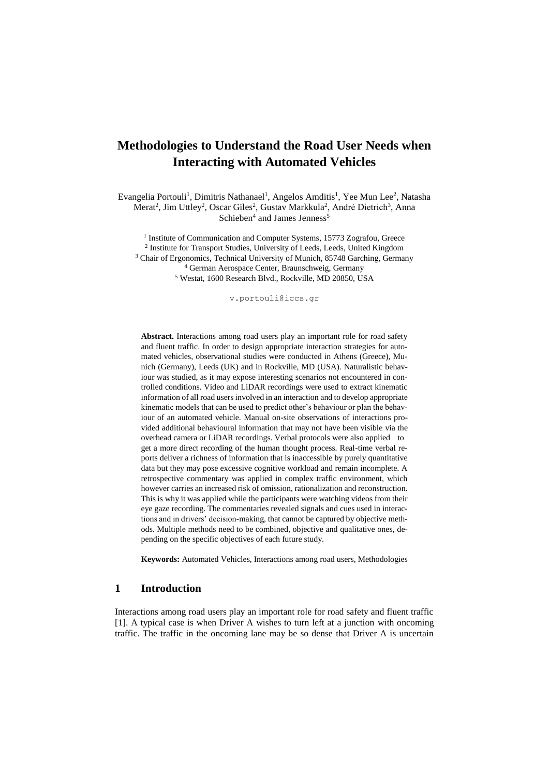# **Methodologies to Understand the Road User Needs when Interacting with Automated Vehicles**

Evangelia Portouli<sup>1</sup>, Dimitris Nathanael<sup>1</sup>, Angelos Amditis<sup>1</sup>, Yee Mun Lee<sup>2</sup>, Natasha Merat<sup>2</sup>, Jim Uttley<sup>2</sup>, Oscar Giles<sup>2</sup>, Gustav Markkula<sup>2</sup>, André Dietrich<sup>3</sup>, Anna Schieben<sup>4</sup> and James Jenness<sup>5</sup>

<sup>1</sup> Institute of Communication and Computer Systems, 15773 Zografou, Greece 2 Institute for Transport Studies, University of Leeds, Leeds, United Kingdom <sup>3</sup> Chair of Ergonomics, Technical University of Munich, 85748 Garching, Germany 4 German Aerospace Center, Braunschweig, Germany 5 Westat, 1600 Research Blvd., Rockville, MD 20850, USA

v.portouli@iccs.gr

**Abstract.** Interactions among road users play an important role for road safety and fluent traffic. In order to design appropriate interaction strategies for automated vehicles, observational studies were conducted in Athens (Greece), Munich (Germany), Leeds (UK) and in Rockville, MD (USA). Naturalistic behaviour was studied, as it may expose interesting scenarios not encountered in controlled conditions. Video and LiDAR recordings were used to extract kinematic information of all road users involved in an interaction and to develop appropriate kinematic models that can be used to predict other's behaviour or plan the behaviour of an automated vehicle. Manual on-site observations of interactions provided additional behavioural information that may not have been visible via the overhead camera or LiDAR recordings. Verbal protocols were also applied to get a more direct recording of the human thought process. Real-time verbal reports deliver a richness of information that is inaccessible by purely quantitative data but they may pose excessive cognitive workload and remain incomplete. A retrospective commentary was applied in complex traffic environment, which however carries an increased risk of omission, rationalization and reconstruction. This is why it was applied while the participants were watching videos from their eye gaze recording. The commentaries revealed signals and cues used in interactions and in drivers' decision-making, that cannot be captured by objective methods. Multiple methods need to be combined, objective and qualitative ones, depending on the specific objectives of each future study.

**Keywords:** Automated Vehicles, Interactions among road users, Methodologies

#### **1 Introduction**

Interactions among road users play an important role for road safety and fluent traffic [1]. A typical case is when Driver A wishes to turn left at a junction with oncoming traffic. The traffic in the oncoming lane may be so dense that Driver A is uncertain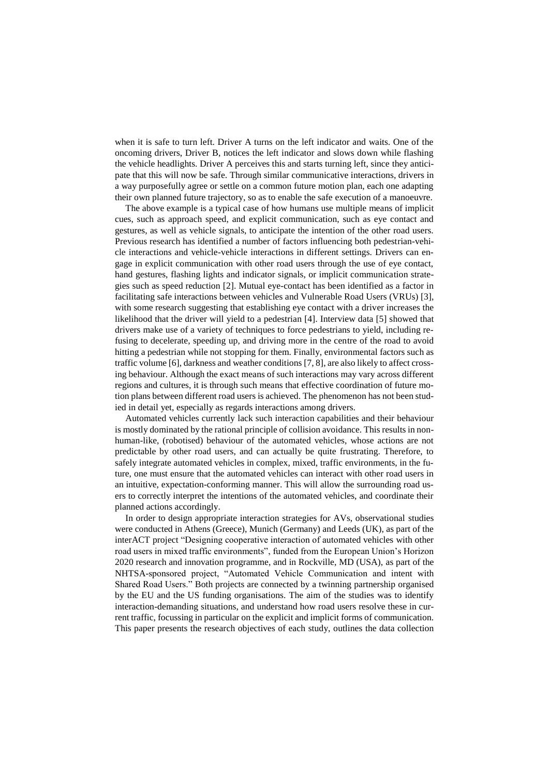when it is safe to turn left. Driver A turns on the left indicator and waits. One of the oncoming drivers, Driver B, notices the left indicator and slows down while flashing the vehicle headlights. Driver A perceives this and starts turning left, since they anticipate that this will now be safe. Through similar communicative interactions, drivers in a way purposefully agree or settle on a common future motion plan, each one adapting their own planned future trajectory, so as to enable the safe execution of a manoeuvre.

The above example is a typical case of how humans use multiple means of implicit cues, such as approach speed, and explicit communication, such as eye contact and gestures, as well as vehicle signals, to anticipate the intention of the other road users. Previous research has identified a number of factors influencing both pedestrian-vehicle interactions and vehicle-vehicle interactions in different settings. Drivers can engage in explicit communication with other road users through the use of eye contact, hand gestures, flashing lights and indicator signals, or implicit communication strategies such as speed reduction [2]. Mutual eye-contact has been identified as a factor in facilitating safe interactions between vehicles and Vulnerable Road Users (VRUs) [3], with some research suggesting that establishing eye contact with a driver increases the likelihood that the driver will yield to a pedestrian [4]. Interview data [5] showed that drivers make use of a variety of techniques to force pedestrians to yield, including refusing to decelerate, speeding up, and driving more in the centre of the road to avoid hitting a pedestrian while not stopping for them. Finally, environmental factors such as traffic volume [6], darkness and weather conditions [7, 8], are also likely to affect crossing behaviour. Although the exact means of such interactions may vary across different regions and cultures, it is through such means that effective coordination of future motion plans between different road users is achieved. The phenomenon has not been studied in detail yet, especially as regards interactions among drivers.

Automated vehicles currently lack such interaction capabilities and their behaviour is mostly dominated by the rational principle of collision avoidance. This results in nonhuman-like, (robotised) behaviour of the automated vehicles, whose actions are not predictable by other road users, and can actually be quite frustrating. Therefore, to safely integrate automated vehicles in complex, mixed, traffic environments, in the future, one must ensure that the automated vehicles can interact with other road users in an intuitive, expectation-conforming manner. This will allow the surrounding road users to correctly interpret the intentions of the automated vehicles, and coordinate their planned actions accordingly.

In order to design appropriate interaction strategies for AVs, observational studies were conducted in Athens (Greece), Munich (Germany) and Leeds (UK), as part of the interACT project "Designing cooperative interaction of automated vehicles with other road users in mixed traffic environments", funded from the European Union's Horizon 2020 research and innovation programme, and in Rockville, MD (USA), as part of the NHTSA-sponsored project, "Automated Vehicle Communication and intent with Shared Road Users." Both projects are connected by a twinning partnership organised by the EU and the US funding organisations. The aim of the studies was to identify interaction-demanding situations, and understand how road users resolve these in current traffic, focussing in particular on the explicit and implicit forms of communication. This paper presents the research objectives of each study, outlines the data collection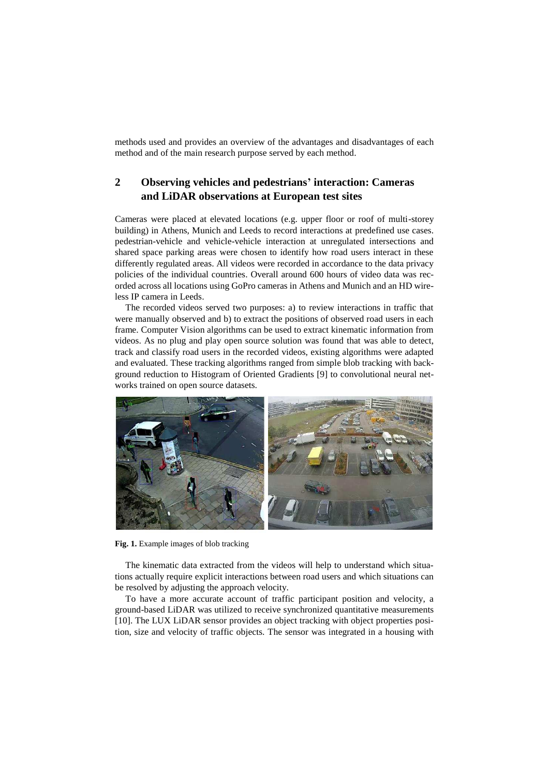methods used and provides an overview of the advantages and disadvantages of each method and of the main research purpose served by each method.

### **2 Observing vehicles and pedestrians' interaction: Cameras and LiDAR observations at European test sites**

Cameras were placed at elevated locations (e.g. upper floor or roof of multi-storey building) in Athens, Munich and Leeds to record interactions at predefined use cases. pedestrian-vehicle and vehicle-vehicle interaction at unregulated intersections and shared space parking areas were chosen to identify how road users interact in these differently regulated areas. All videos were recorded in accordance to the data privacy policies of the individual countries. Overall around 600 hours of video data was recorded across all locations using GoPro cameras in Athens and Munich and an HD wireless IP camera in Leeds.

The recorded videos served two purposes: a) to review interactions in traffic that were manually observed and b) to extract the positions of observed road users in each frame. Computer Vision algorithms can be used to extract kinematic information from videos. As no plug and play open source solution was found that was able to detect, track and classify road users in the recorded videos, existing algorithms were adapted and evaluated. These tracking algorithms ranged from simple blob tracking with background reduction to Histogram of Oriented Gradients [9] to convolutional neural networks trained on open source datasets.



**Fig. 1.** Example images of blob tracking

The kinematic data extracted from the videos will help to understand which situations actually require explicit interactions between road users and which situations can be resolved by adjusting the approach velocity.

To have a more accurate account of traffic participant position and velocity, a ground-based LiDAR was utilized to receive synchronized quantitative measurements [10]. The LUX LiDAR sensor provides an object tracking with object properties position, size and velocity of traffic objects. The sensor was integrated in a housing with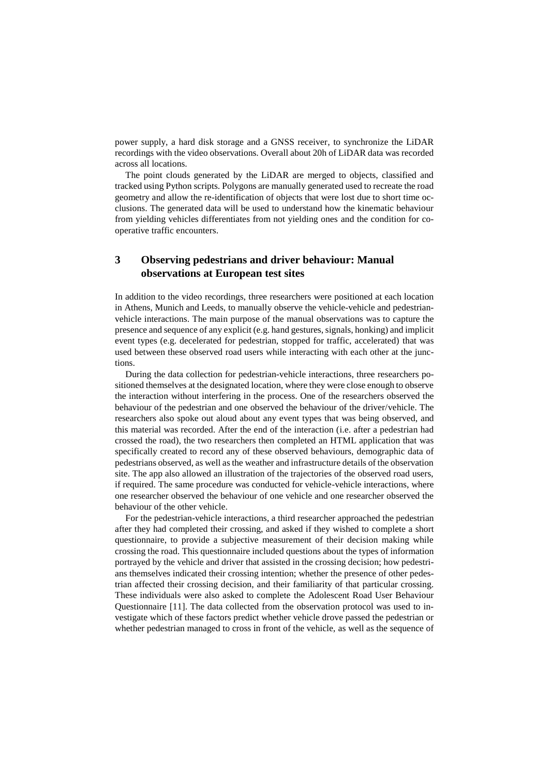power supply, a hard disk storage and a GNSS receiver, to synchronize the LiDAR recordings with the video observations. Overall about 20h of LiDAR data was recorded across all locations.

The point clouds generated by the LiDAR are merged to objects, classified and tracked using Python scripts. Polygons are manually generated used to recreate the road geometry and allow the re-identification of objects that were lost due to short time occlusions. The generated data will be used to understand how the kinematic behaviour from yielding vehicles differentiates from not yielding ones and the condition for cooperative traffic encounters.

### **3 Observing pedestrians and driver behaviour: Manual observations at European test sites**

In addition to the video recordings, three researchers were positioned at each location in Athens, Munich and Leeds, to manually observe the vehicle-vehicle and pedestrianvehicle interactions. The main purpose of the manual observations was to capture the presence and sequence of any explicit (e.g. hand gestures, signals, honking) and implicit event types (e.g. decelerated for pedestrian, stopped for traffic, accelerated) that was used between these observed road users while interacting with each other at the junctions.

During the data collection for pedestrian-vehicle interactions, three researchers positioned themselves at the designated location, where they were close enough to observe the interaction without interfering in the process. One of the researchers observed the behaviour of the pedestrian and one observed the behaviour of the driver/vehicle. The researchers also spoke out aloud about any event types that was being observed, and this material was recorded. After the end of the interaction (i.e. after a pedestrian had crossed the road), the two researchers then completed an HTML application that was specifically created to record any of these observed behaviours, demographic data of pedestrians observed, as well as the weather and infrastructure details of the observation site. The app also allowed an illustration of the trajectories of the observed road users, if required. The same procedure was conducted for vehicle-vehicle interactions, where one researcher observed the behaviour of one vehicle and one researcher observed the behaviour of the other vehicle.

For the pedestrian-vehicle interactions, a third researcher approached the pedestrian after they had completed their crossing, and asked if they wished to complete a short questionnaire, to provide a subjective measurement of their decision making while crossing the road. This questionnaire included questions about the types of information portrayed by the vehicle and driver that assisted in the crossing decision; how pedestrians themselves indicated their crossing intention; whether the presence of other pedestrian affected their crossing decision, and their familiarity of that particular crossing. These individuals were also asked to complete the Adolescent Road User Behaviour Questionnaire [11]. The data collected from the observation protocol was used to investigate which of these factors predict whether vehicle drove passed the pedestrian or whether pedestrian managed to cross in front of the vehicle, as well as the sequence of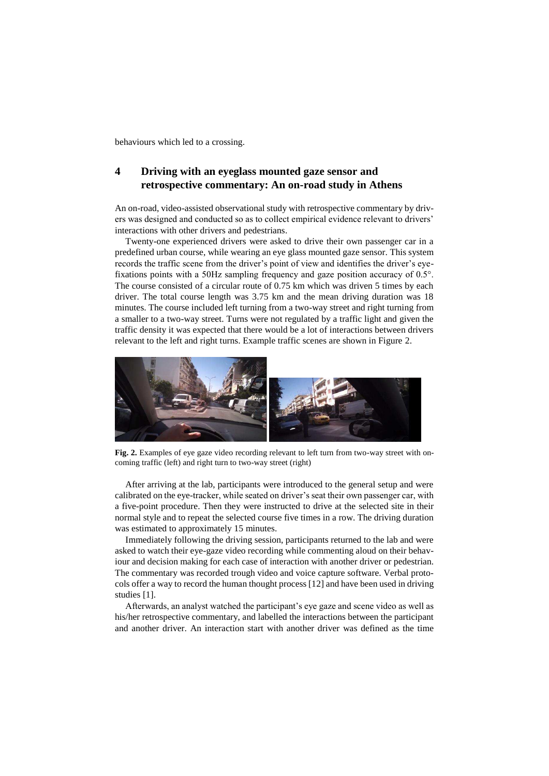behaviours which led to a crossing.

## **4 Driving with an eyeglass mounted gaze sensor and retrospective commentary: An on-road study in Athens**

An on-road, video-assisted observational study with retrospective commentary by drivers was designed and conducted so as to collect empirical evidence relevant to drivers' interactions with other drivers and pedestrians.

Twenty-one experienced drivers were asked to drive their own passenger car in a predefined urban course, while wearing an eye glass mounted gaze sensor. This system records the traffic scene from the driver's point of view and identifies the driver's eyefixations points with a 50Hz sampling frequency and gaze position accuracy of 0.5°. The course consisted of a circular route of 0.75 km which was driven 5 times by each driver. The total course length was 3.75 km and the mean driving duration was 18 minutes. The course included left turning from a two-way street and right turning from a smaller to a two-way street. Turns were not regulated by a traffic light and given the traffic density it was expected that there would be a lot of interactions between drivers relevant to the left and right turns. Example traffic scenes are shown in Figure 2.



**Fig. 2.** Examples of eye gaze video recording relevant to left turn from two-way street with oncoming traffic (left) and right turn to two-way street (right)

After arriving at the lab, participants were introduced to the general setup and were calibrated on the eye-tracker, while seated on driver's seat their own passenger car, with a five-point procedure. Then they were instructed to drive at the selected site in their normal style and to repeat the selected course five times in a row. The driving duration was estimated to approximately 15 minutes.

Immediately following the driving session, participants returned to the lab and were asked to watch their eye-gaze video recording while commenting aloud on their behaviour and decision making for each case of interaction with another driver or pedestrian. The commentary was recorded trough video and voice capture software. Verbal protocols offer a way to record the human thought process [12] and have been used in driving studies [1].

Afterwards, an analyst watched the participant's eye gaze and scene video as well as his/her retrospective commentary, and labelled the interactions between the participant and another driver. An interaction start with another driver was defined as the time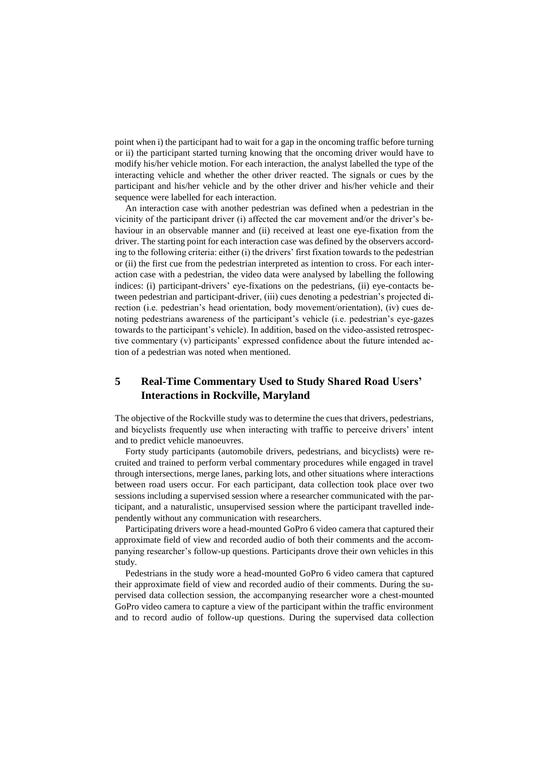point when i) the participant had to wait for a gap in the oncoming traffic before turning or ii) the participant started turning knowing that the oncoming driver would have to modify his/her vehicle motion. For each interaction, the analyst labelled the type of the interacting vehicle and whether the other driver reacted. The signals or cues by the participant and his/her vehicle and by the other driver and his/her vehicle and their sequence were labelled for each interaction.

An interaction case with another pedestrian was defined when a pedestrian in the vicinity of the participant driver (i) affected the car movement and/or the driver's behaviour in an observable manner and (ii) received at least one eye-fixation from the driver. The starting point for each interaction case was defined by the observers according to the following criteria: either (i) the drivers' first fixation towards to the pedestrian or (ii) the first cue from the pedestrian interpreted as intention to cross. For each interaction case with a pedestrian, the video data were analysed by labelling the following indices: (i) participant-drivers' eye-fixations on the pedestrians, (ii) eye-contacts between pedestrian and participant-driver, (iii) cues denoting a pedestrian's projected direction (i.e. pedestrian's head orientation, body movement/orientation), (iv) cues denoting pedestrians awareness of the participant's vehicle (i.e. pedestrian's eye-gazes towards to the participant's vehicle). In addition, based on the video-assisted retrospective commentary (v) participants' expressed confidence about the future intended action of a pedestrian was noted when mentioned.

# **5 Real-Time Commentary Used to Study Shared Road Users' Interactions in Rockville, Maryland**

The objective of the Rockville study was to determine the cues that drivers, pedestrians, and bicyclists frequently use when interacting with traffic to perceive drivers' intent and to predict vehicle manoeuvres.

Forty study participants (automobile drivers, pedestrians, and bicyclists) were recruited and trained to perform verbal commentary procedures while engaged in travel through intersections, merge lanes, parking lots, and other situations where interactions between road users occur. For each participant, data collection took place over two sessions including a supervised session where a researcher communicated with the participant, and a naturalistic, unsupervised session where the participant travelled independently without any communication with researchers.

Participating drivers wore a head-mounted GoPro 6 video camera that captured their approximate field of view and recorded audio of both their comments and the accompanying researcher's follow-up questions. Participants drove their own vehicles in this study.

Pedestrians in the study wore a head-mounted GoPro 6 video camera that captured their approximate field of view and recorded audio of their comments. During the supervised data collection session, the accompanying researcher wore a chest-mounted GoPro video camera to capture a view of the participant within the traffic environment and to record audio of follow-up questions. During the supervised data collection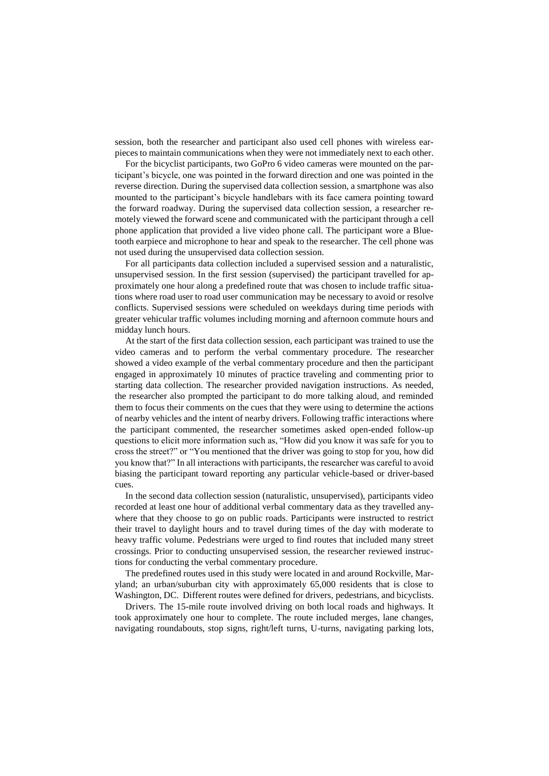session, both the researcher and participant also used cell phones with wireless earpieces to maintain communications when they were not immediately next to each other.

For the bicyclist participants, two GoPro 6 video cameras were mounted on the participant's bicycle, one was pointed in the forward direction and one was pointed in the reverse direction. During the supervised data collection session, a smartphone was also mounted to the participant's bicycle handlebars with its face camera pointing toward the forward roadway. During the supervised data collection session, a researcher remotely viewed the forward scene and communicated with the participant through a cell phone application that provided a live video phone call. The participant wore a Bluetooth earpiece and microphone to hear and speak to the researcher. The cell phone was not used during the unsupervised data collection session.

For all participants data collection included a supervised session and a naturalistic, unsupervised session. In the first session (supervised) the participant travelled for approximately one hour along a predefined route that was chosen to include traffic situations where road user to road user communication may be necessary to avoid or resolve conflicts. Supervised sessions were scheduled on weekdays during time periods with greater vehicular traffic volumes including morning and afternoon commute hours and midday lunch hours.

At the start of the first data collection session, each participant was trained to use the video cameras and to perform the verbal commentary procedure. The researcher showed a video example of the verbal commentary procedure and then the participant engaged in approximately 10 minutes of practice traveling and commenting prior to starting data collection. The researcher provided navigation instructions. As needed, the researcher also prompted the participant to do more talking aloud, and reminded them to focus their comments on the cues that they were using to determine the actions of nearby vehicles and the intent of nearby drivers. Following traffic interactions where the participant commented, the researcher sometimes asked open-ended follow-up questions to elicit more information such as, "How did you know it was safe for you to cross the street?" or "You mentioned that the driver was going to stop for you, how did you know that?" In all interactions with participants, the researcher was careful to avoid biasing the participant toward reporting any particular vehicle-based or driver-based cues.

In the second data collection session (naturalistic, unsupervised), participants video recorded at least one hour of additional verbal commentary data as they travelled anywhere that they choose to go on public roads. Participants were instructed to restrict their travel to daylight hours and to travel during times of the day with moderate to heavy traffic volume. Pedestrians were urged to find routes that included many street crossings. Prior to conducting unsupervised session, the researcher reviewed instructions for conducting the verbal commentary procedure.

The predefined routes used in this study were located in and around Rockville, Maryland; an urban/suburban city with approximately 65,000 residents that is close to Washington, DC. Different routes were defined for drivers, pedestrians, and bicyclists.

Drivers. The 15-mile route involved driving on both local roads and highways. It took approximately one hour to complete. The route included merges, lane changes, navigating roundabouts, stop signs, right/left turns, U-turns, navigating parking lots,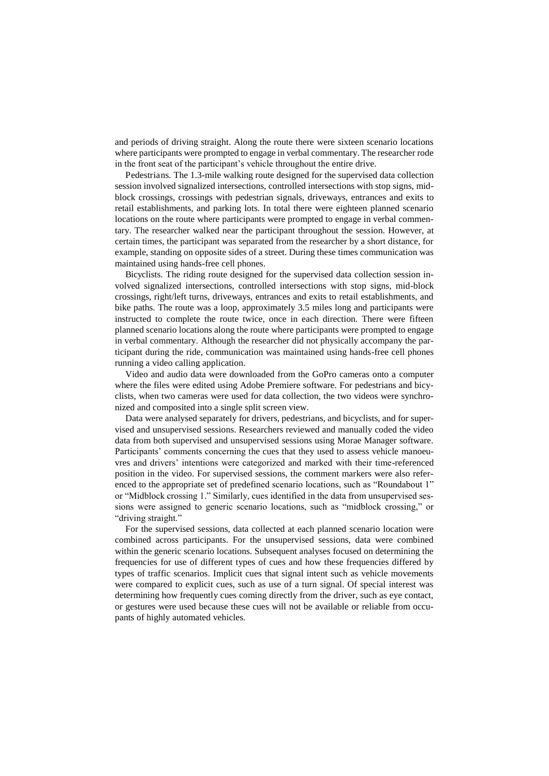and periods of driving straight. Along the route there were sixteen scenario locations where participants were prompted to engage in verbal commentary. The researcher rode in the front seat of the participant's vehicle throughout the entire drive.

Pedestrians. The 1.3-mile walking route designed for the supervised data collection session involved signalized intersections, controlled intersections with stop signs, midblock crossings, crossings with pedestrian signals, driveways, entrances and exits to retail establishments, and parking lots. In total there were eighteen planned scenario locations on the route where participants were prompted to engage in verbal commentary. The researcher walked near the participant throughout the session. However, at certain times, the participant was separated from the researcher by a short distance, for example, standing on opposite sides of a street. During these times communication was maintained using hands-free cell phones.

Bicyclists. The riding route designed for the supervised data collection session involved signalized intersections, controlled intersections with stop signs, mid-block crossings, right/left turns, driveways, entrances and exits to retail establishments, and bike paths. The route was a loop, approximately 3.5 miles long and participants were instructed to complete the route twice, once in each direction. There were fifteen planned scenario locations along the route where participants were prompted to engage in verbal commentary. Although the researcher did not physically accompany the participant during the ride, communication was maintained using hands-free cell phones running a video calling application.

Video and audio data were downloaded from the GoPro cameras onto a computer where the files were edited using Adobe Premiere software. For pedestrians and bicyclists, when two cameras were used for data collection, the two videos were synchronized and composited into a single split screen view.

Data were analysed separately for drivers, pedestrians, and bicyclists, and for supervised and unsupervised sessions. Researchers reviewed and manually coded the video data from both supervised and unsupervised sessions using Morae Manager software. Participants' comments concerning the cues that they used to assess vehicle manoeuvres and drivers' intentions were categorized and marked with their time-referenced position in the video. For supervised sessions, the comment markers were also referenced to the appropriate set of predefined scenario locations, such as "Roundabout 1" or "Midblock crossing 1." Similarly, cues identified in the data from unsupervised sessions were assigned to generic scenario locations, such as "midblock crossing," or "driving straight."

For the supervised sessions, data collected at each planned scenario location were combined across participants. For the unsupervised sessions, data were combined within the generic scenario locations. Subsequent analyses focused on determining the frequencies for use of different types of cues and how these frequencies differed by types of traffic scenarios. Implicit cues that signal intent such as vehicle movements were compared to explicit cues, such as use of a turn signal. Of special interest was determining how frequently cues coming directly from the driver, such as eye contact, or gestures were used because these cues will not be available or reliable from occupants of highly automated vehicles.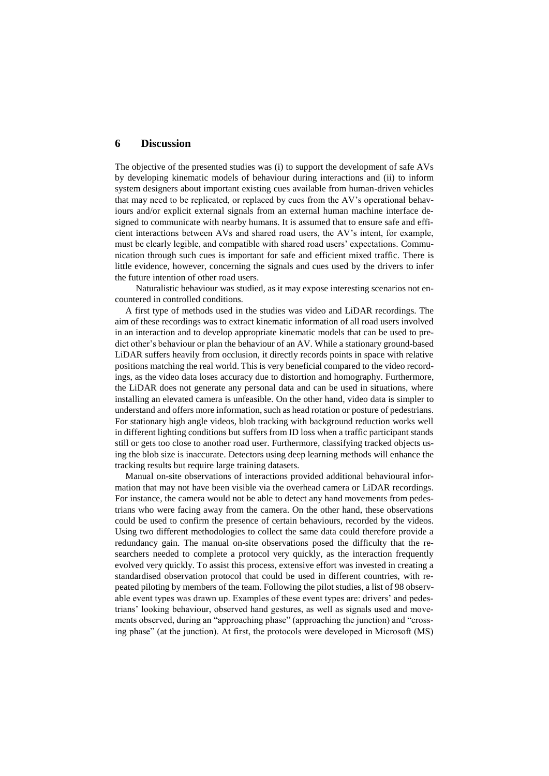#### **6 Discussion**

The objective of the presented studies was (i) to support the development of safe AVs by developing kinematic models of behaviour during interactions and (ii) to inform system designers about important existing cues available from human-driven vehicles that may need to be replicated, or replaced by cues from the AV's operational behaviours and/or explicit external signals from an external human machine interface designed to communicate with nearby humans. It is assumed that to ensure safe and efficient interactions between AVs and shared road users, the AV's intent, for example, must be clearly legible, and compatible with shared road users' expectations. Communication through such cues is important for safe and efficient mixed traffic. There is little evidence, however, concerning the signals and cues used by the drivers to infer the future intention of other road users.

 Naturalistic behaviour was studied, as it may expose interesting scenarios not encountered in controlled conditions.

A first type of methods used in the studies was video and LiDAR recordings. The aim of these recordings was to extract kinematic information of all road users involved in an interaction and to develop appropriate kinematic models that can be used to predict other's behaviour or plan the behaviour of an AV. While a stationary ground-based LiDAR suffers heavily from occlusion, it directly records points in space with relative positions matching the real world. This is very beneficial compared to the video recordings, as the video data loses accuracy due to distortion and homography. Furthermore, the LiDAR does not generate any personal data and can be used in situations, where installing an elevated camera is unfeasible. On the other hand, video data is simpler to understand and offers more information, such as head rotation or posture of pedestrians. For stationary high angle videos, blob tracking with background reduction works well in different lighting conditions but suffers from ID loss when a traffic participant stands still or gets too close to another road user. Furthermore, classifying tracked objects using the blob size is inaccurate. Detectors using deep learning methods will enhance the tracking results but require large training datasets.

Manual on-site observations of interactions provided additional behavioural information that may not have been visible via the overhead camera or LiDAR recordings. For instance, the camera would not be able to detect any hand movements from pedestrians who were facing away from the camera. On the other hand, these observations could be used to confirm the presence of certain behaviours, recorded by the videos. Using two different methodologies to collect the same data could therefore provide a redundancy gain. The manual on-site observations posed the difficulty that the researchers needed to complete a protocol very quickly, as the interaction frequently evolved very quickly. To assist this process, extensive effort was invested in creating a standardised observation protocol that could be used in different countries, with repeated piloting by members of the team. Following the pilot studies, a list of 98 observable event types was drawn up. Examples of these event types are: drivers' and pedestrians' looking behaviour, observed hand gestures, as well as signals used and movements observed, during an "approaching phase" (approaching the junction) and "crossing phase" (at the junction). At first, the protocols were developed in Microsoft (MS)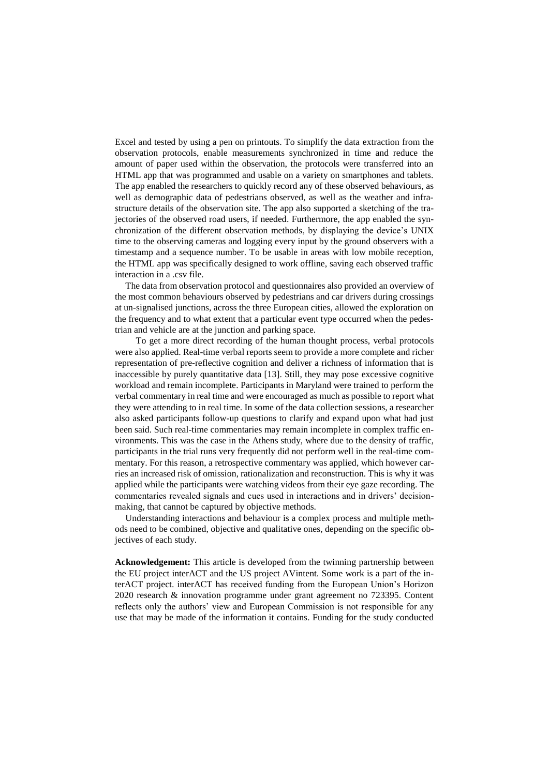Excel and tested by using a pen on printouts. To simplify the data extraction from the observation protocols, enable measurements synchronized in time and reduce the amount of paper used within the observation, the protocols were transferred into an HTML app that was programmed and usable on a variety on smartphones and tablets. The app enabled the researchers to quickly record any of these observed behaviours, as well as demographic data of pedestrians observed, as well as the weather and infrastructure details of the observation site. The app also supported a sketching of the trajectories of the observed road users, if needed. Furthermore, the app enabled the synchronization of the different observation methods, by displaying the device's UNIX time to the observing cameras and logging every input by the ground observers with a timestamp and a sequence number. To be usable in areas with low mobile reception, the HTML app was specifically designed to work offline, saving each observed traffic interaction in a .csv file.

The data from observation protocol and questionnaires also provided an overview of the most common behaviours observed by pedestrians and car drivers during crossings at un-signalised junctions, across the three European cities, allowed the exploration on the frequency and to what extent that a particular event type occurred when the pedestrian and vehicle are at the junction and parking space.

 To get a more direct recording of the human thought process, verbal protocols were also applied. Real-time verbal reports seem to provide a more complete and richer representation of pre-reflective cognition and deliver a richness of information that is inaccessible by purely quantitative data [13]. Still, they may pose excessive cognitive workload and remain incomplete. Participants in Maryland were trained to perform the verbal commentary in real time and were encouraged as much as possible to report what they were attending to in real time. In some of the data collection sessions, a researcher also asked participants follow-up questions to clarify and expand upon what had just been said. Such real-time commentaries may remain incomplete in complex traffic environments. This was the case in the Athens study, where due to the density of traffic, participants in the trial runs very frequently did not perform well in the real-time commentary. For this reason, a retrospective commentary was applied, which however carries an increased risk of omission, rationalization and reconstruction. This is why it was applied while the participants were watching videos from their eye gaze recording. The commentaries revealed signals and cues used in interactions and in drivers' decisionmaking, that cannot be captured by objective methods.

Understanding interactions and behaviour is a complex process and multiple methods need to be combined, objective and qualitative ones, depending on the specific objectives of each study.

**Acknowledgement:** This article is developed from the twinning partnership between the EU project interACT and the US project AVintent. Some work is a part of the interACT project. interACT has received funding from the European Union's Horizon 2020 research & innovation programme under grant agreement no 723395. Content reflects only the authors' view and European Commission is not responsible for any use that may be made of the information it contains. Funding for the study conducted